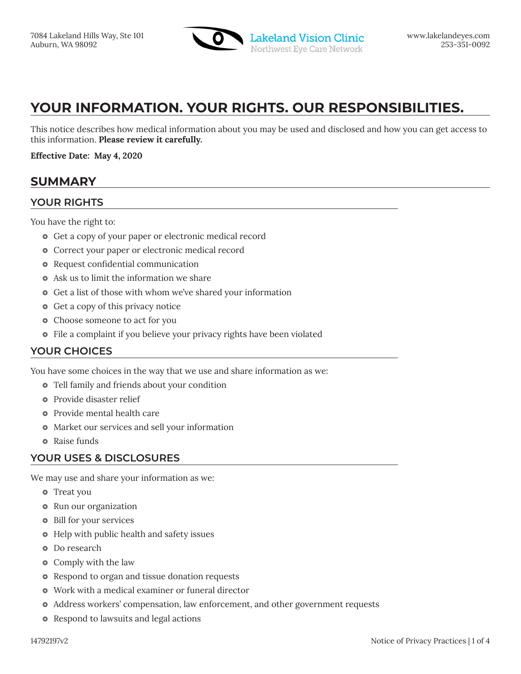

# **YOUR INFORMATION. YOUR RIGHTS. OUR RESPONSIBILITIES.**

This notice describes how medical information about you may be used and disclosed and how you can get access to this information. **Please review it carefully.**

#### **Effective Date: May 4, 2020**

## **SUMMARY**

### **YOUR RIGHTS**

You have the right to:

- Get a copy of your paper or electronic medical record
- Correct your paper or electronic medical record
- Request confidential communication
- Ask us to limit the information we share
- **•** Get a list of those with whom we've shared your information
- Get a copy of this privacy notice
- Choose someone to act for you
- File a complaint if you believe your privacy rights have been violated

## **YOUR CHOICES**

You have some choices in the way that we use and share information as we:

- Tell family and friends about your condition
- Provide disaster relief
- Provide mental health care
- Market our services and sell your information
- **•** Raise funds

### **YOUR USES & DISCLOSURES**

We may use and share your information as we:

- **•** Treat you
- Run our organization
- Bill for your services
- Help with public health and safety issues
- **•** Do research
- Comply with the law
- Respond to organ and tissue donation requests
- Work with a medical examiner or funeral director
- Address workers' compensation, law enforcement, and other government requests
- Respond to lawsuits and legal actions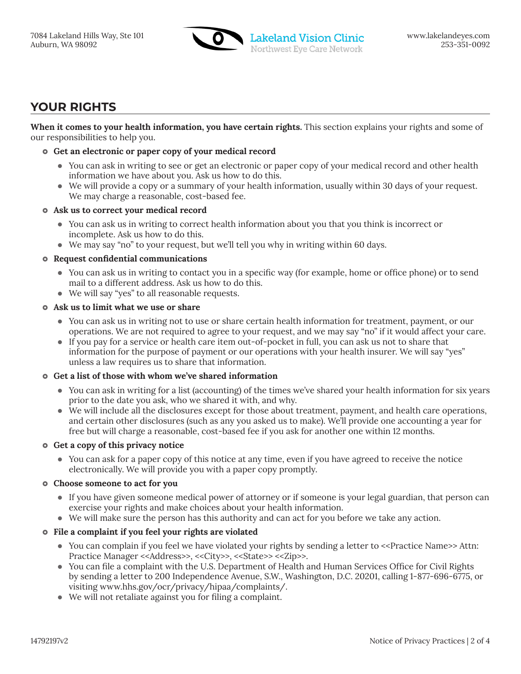

# **YOUR RIGHTS**

**When it comes to your health information, you have certain rights.** This section explains your rights and some of our responsibilities to help you.

#### } **Get an electronic or paper copy of your medical record**

- You can ask in writing to see or get an electronic or paper copy of your medical record and other health information we have about you. Ask us how to do this.
- We will provide a copy or a summary of your health information, usually within 30 days of your request. We may charge a reasonable, cost-based fee.

#### } **Ask us to correct your medical record**

- You can ask us in writing to correct health information about you that you think is incorrect or incomplete. Ask us how to do this.
- We may say "no" to your request, but we'll tell you why in writing within 60 days.

### } **Request confidential communications**

- You can ask us in writing to contact you in a specific way (for example, home or office phone) or to send mail to a different address. Ask us how to do this.
- We will say "yes" to all reasonable requests.

#### } **Ask us to limit what we use or share**

- You can ask us in writing not to use or share certain health information for treatment, payment, or our operations. We are not required to agree to your request, and we may say "no" if it would affect your care.
- If you pay for a service or health care item out-of-pocket in full, you can ask us not to share that information for the purpose of payment or our operations with your health insurer. We will say "yes" unless a law requires us to share that information.

#### } **Get a list of those with whom we've shared information**

- You can ask in writing for a list (accounting) of the times we've shared your health information for six years prior to the date you ask, who we shared it with, and why.
- $\bullet$  We will include all the disclosures except for those about treatment, payment, and health care operations, and certain other disclosures (such as any you asked us to make). We'll provide one accounting a year for free but will charge a reasonable, cost-based fee if you ask for another one within 12 months.

#### } **Get a copy of this privacy notice**

• You can ask for a paper copy of this notice at any time, even if you have agreed to receive the notice electronically. We will provide you with a paper copy promptly.

#### } **Choose someone to act for you**

- If you have given someone medical power of attorney or if someone is your legal guardian, that person can exercise your rights and make choices about your health information.
- $\bullet$  We will make sure the person has this authority and can act for you before we take any action.

### } **File a complaint if you feel your rights are violated**

- You can complain if you feel we have violated your rights by sending a letter to  $\leq$ Practice Name>> Attn: Practice Manager <<Address>>, <<City>>, <<State>> <<Zip>>.
- You can file a complaint with the U.S. Department of Health and Human Services Office for Civil Rights by sending a letter to 200 Independence Avenue, S.W., Washington, D.C. 20201, calling 1-877-696-6775, or visiting www.hhs.gov/ocr/privacy/hipaa/complaints/.
- $\bullet$  We will not retaliate against you for filing a complaint.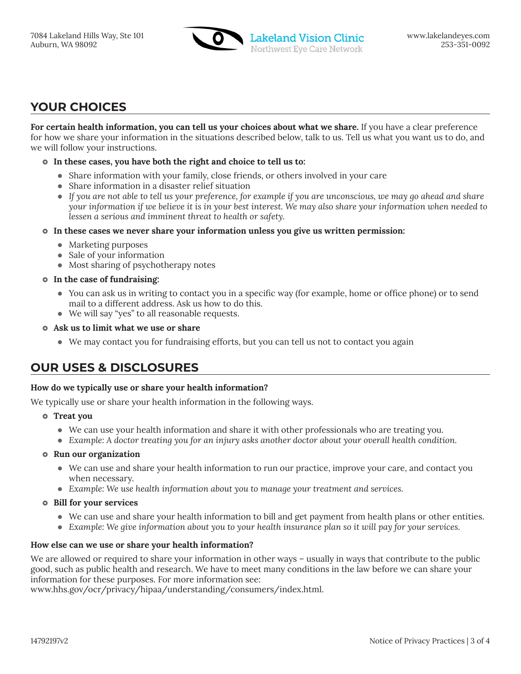

# **YOUR CHOICES**

**For certain health information, you can tell us your choices about what we share.** If you have a clear preference for how we share your information in the situations described below, talk to us. Tell us what you want us to do, and we will follow your instructions.

#### } **In these cases, you have both the right and choice to tell us to:**

- Share information with your family, close friends, or others involved in your care
- Share information in a disaster relief situation
- If you are not able to tell us your preference, for example if you are unconscious, we may go ahead and share *your information if we believe it is in your best interest. We may also share your information when needed to lessen a serious and imminent threat to health or safety.*
- } **In these cases we never share your information unless you give us written permission:**
	- Marketing purposes
	- $\bullet$  Sale of your information
	- Most sharing of psychotherapy notes

#### } **In the case of fundraising:**

- You can ask us in writing to contact you in a specific way (for example, home or office phone) or to send mail to a different address. Ask us how to do this.
- We will say "yes" to all reasonable requests.
- } **Ask us to limit what we use or share**
	- We may contact you for fundraising efforts, but you can tell us not to contact you again

## **OUR USES & DISCLOSURES**

#### **How do we typically use or share your health information?**

We typically use or share your health information in the following ways.

- } **Treat you**
	- $\bullet$  We can use your health information and share it with other professionals who are treating you.
	- **Example:** A doctor treating you for an injury asks another doctor about your overall health condition.

#### $\circ$  Run our organization

- We can use and share your health information to run our practice, improve your care, and contact you when necessary.
- **Example:** We use health information about you to manage your treatment and services.

#### } **Bill for your services**

- We can use and share your health information to bill and get payment from health plans or other entities.
- **Example:** We give information about you to your health insurance plan so it will pay for your services.

#### **How else can we use or share your health information?**

We are allowed or required to share your information in other ways – usually in ways that contribute to the public good, such as public health and research. We have to meet many conditions in the law before we can share your information for these purposes. For more information see:

www.hhs.gov/ocr/privacy/hipaa/understanding/consumers/index.html.